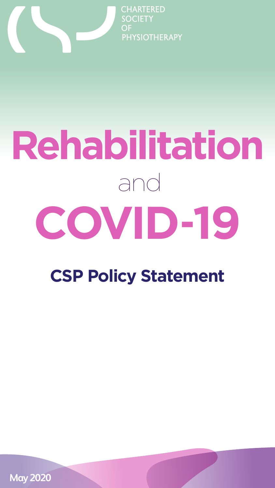

**CHARTERED SOCIETY** OF **PHYSIOTHERAPY** 

# **Rehabilitation** and **COVID**-**19**

**CSP Policy Statement**

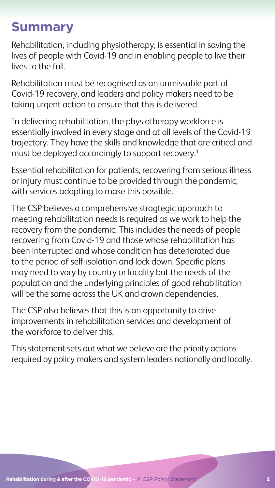## **Summary**

Rehabilitation, including physiotherapy, is essential in saving the lives of people with Covid-19 and in enabling people to live their lives to the full.

In delivering rehabilitation, the physiotherapy workforce is essentially involved in every stage and at all levels of the Covid-19 trajectory. They have the skills and knowledge that are critical and must be deployed accordingly to support recovery.<sup>1</sup>

Rehabilitation must be recognised as an unmissable part of Covid-19 recovery, and leaders and policy makers need to be taking urgent action to ensure that this is delivered.

Essential rehabilitation for patients, recovering from serious illness or injury must continue to be provided through the pandemic, with services adapting to make this possible.

The CSP believes a comprehensive stragtegic approach to meeting rehabilitation needs is required as we work to help the recovery from the pandemic. This includes the needs of people recovering from Covid-19 and those whose rehabilitation has been interrupted and whose condition has deteriorated due to the period of self-isolation and lock down. Specific plans may need to vary by country or locality but the needs of the population and the underlying principles of good rehabilitation will be the same across the UK and crown dependencies.

The CSP also believes that this is an opportunity to drive improvements in rehabilitation services and development of the workforce to deliver this.

This statement sets out what we believe are the priority actions required by policy makers and system leaders nationally and locally.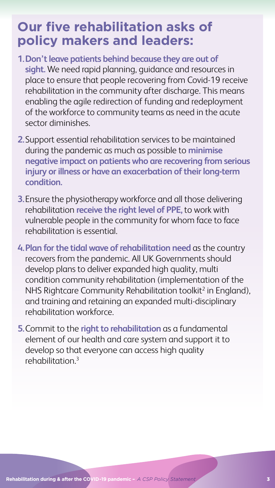## **Our five rehabilitation asks of policy makers and leaders:**

- **1.Don't leave patients behind because they are out of sight.** We need rapid planning, guidance and resources in place to ensure that people recovering from Covid-19 receive rehabilitation in the community after discharge. This means enabling the agile redirection of funding and redeployment of the workforce to community teams as need in the acute sector diminishes.
- **2.**Support essential rehabilitation services to be maintained during the pandemic as much as possible to **minimise negative impact on patients who are recovering from serious injury or illness or have an exacerbation of their long-term condition.**
- **3.**Ensure the physiotherapy workforce and all those delivering rehabilitation **receive the right level of PPE,** to work with vulnerable people in the community for whom face to face rehabilitation is essential.
- **4.Plan for the tidal wave of rehabilitation need** as the country recovers from the pandemic. All UK Governments should develop plans to deliver expanded high quality, multi condition community rehabilitation (implementation of the NHS Rightcare Community Rehabilitation toolkit<sup>2</sup> in England), and training and retaining an expanded multi-disciplinary rehabilitation workforce.
- **5.**Commit to the **right to rehabilitation** as a fundamental element of our health and care system and support it to

#### develop so that everyone can access high quality rehabilitation.3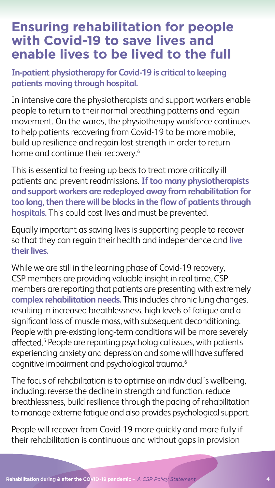#### **Ensuring rehabilitation for people with Covid-19 to save lives and enable lives to be lived to the full**

In intensive care the physiotherapists and support workers enable people to return to their normal breathing patterns and regain movement. On the wards, the physiotherapy workforce continues to help patients recovering from Covid-19 to be more mobile, build up resilience and regain lost strength in order to return home and continue their recovery.<sup>4</sup>

**In-patient physiotherapy for Covid-19 is critical to keeping patients moving through hospital.** 

While we are still in the learning phase of Covid-19 recovery, CSP members are providing valuable insight in real time. CSP members are reporting that patients are presenting with extremely **complex rehabilitation needs.** This includes chronic lung changes, resulting in increased breathlessness, high levels of fatigue and a significant loss of muscle mass, with subsequent deconditioning. People with pre-existing long-term conditions will be more severely affected.<sup>5</sup> People are reporting psychological issues, with patients experiencing anxiety and depression and some will have suffered cognitive impairment and psychological trauma.<sup>6</sup>

This is essential to freeing up beds to treat more critically ill patients and prevent readmissions. **If too many physiotherapists and support workers are redeployed away from rehabilitation for too long, then there will be blocks in the flow of patients through hospitals.** This could cost lives and must be prevented.

Equally important as saving lives is supporting people to recover so that they can regain their health and independence and **live their lives.**

The focus of rehabilitation is to optimise an individual's wellbeing, including: reverse the decline in strength and function, reduce breathlessness, build resilience through the pacing of rehabilitation to manage extreme fatigue and also provides psychological support.

People will recover from Covid-19 more quickly and more fully if their rehabilitation is continuous and without gaps in provision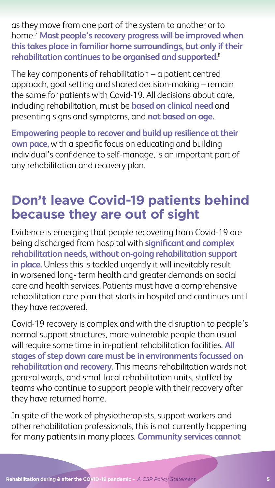as they move from one part of the system to another or to home.7 **Most people's recovery progress will be improved when this takes place in familiar home surroundings, but only if their rehabilitation continues to be organised and supported.**<sup>8</sup>

The key components of rehabilitation – a patient centred approach, goal setting and shared decision-making – remain the same for patients with Covid-19. All decisions about care, including rehabilitation, must be **based on clinical need** and presenting signs and symptoms, and **not based on age.**

**Empowering people to recover and build up resilience at their own pace,** with a specific focus on educating and building individual's confidence to self-manage, is an important part of any rehabilitation and recovery plan.

## **Don't leave Covid-19 patients behind because they are out of sight**

Evidence is emerging that people recovering from Covid-19 are being discharged from hospital with **significant and complex rehabilitation needs, without on-going rehabilitation support in place.** Unless this is tackled urgently it will inevitably result in worsened long- term health and greater demands on social care and health services. Patients must have a comprehensive rehabilitation care plan that starts in hospital and continues until they have recovered.

Covid-19 recovery is complex and with the disruption to people's normal support structures, more vulnerable people than usual will require some time in in-patient rehabilitation facilities. **All stages of step down care must be in environments focussed on rehabilitation and recovery.** This means rehabilitation wards not general wards, and small local rehabilitation units, staffed by teams who continue to support people with their recovery after they have returned home.

In spite of the work of physiotherapists, support workers and other rehabilitation professionals, this is not currently happening for many patients in many places. **Community services cannot** 

**Rehabilitation during & after the COVID-19 pandemic** - *A CSP Policy Statement* 5 **5**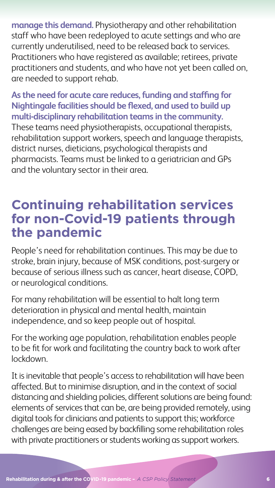**manage this demand.** Physiotherapy and other rehabilitation staff who have been redeployed to acute settings and who are currently underutilised, need to be released back to services. Practitioners who have registered as available; retirees, private practitioners and students, and who have not yet been called on, are needed to support rehab.

**As the need for acute care reduces, funding and staffing for Nightingale facilities should be flexed, and used to build up multi-disciplinary rehabilitation teams in the community.** These teams need physiotherapists, occupational therapists, rehabilitation support workers, speech and language therapists, district nurses, dieticians, psychological therapists and pharmacists. Teams must be linked to a geriatrician and GPs and the voluntary sector in their area.

#### **Continuing rehabilitation services for non-Covid-19 patients through the pandemic**

People's need for rehabilitation continues. This may be due to stroke, brain injury, because of MSK conditions, post-surgery or because of serious illness such as cancer, heart disease, COPD, or neurological conditions.

For many rehabilitation will be essential to halt long term deterioration in physical and mental health, maintain independence, and so keep people out of hospital.

For the working age population, rehabilitation enables people

to be fit for work and facilitating the country back to work after lockdown.

It is inevitable that people's access to rehabilitation will have been affected. But to minimise disruption, and in the context of social distancing and shielding policies, different solutions are being found: elements of services that can be, are being provided remotely, using digital tools for clinicians and patients to support this; workforce challenges are being eased by backfilling some rehabilitation roles with private practitioners or students working as support workers.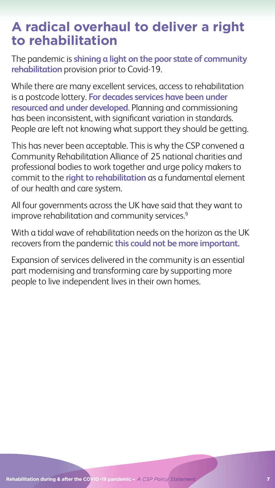#### **A radical overhaul to deliver a right to rehabilitation**

The pandemic is **shining a light on the poor state of community rehabilitation** provision prior to Covid-19.

While there are many excellent services, access to rehabilitation is a postcode lottery. **For decades services have been under resourced and under developed.** Planning and commissioning has been inconsistent, with significant variation in standards. People are left not knowing what support they should be getting.

All four governments across the UK have said that they want to improve rehabilitation and community services.<sup>9</sup>

This has never been acceptable. This is why the CSP convened a Community Rehabilitation Alliance of 25 national charities and professional bodies to work together and urge policy makers to commit to the **right to rehabilitation** as a fundamental element of our health and care system.

With a tidal wave of rehabilitation needs on the horizon as the UK recovers from the pandemic **this could not be more important.** 

Expansion of services delivered in the community is an essential part modernising and transforming care by supporting more people to live independent lives in their own homes.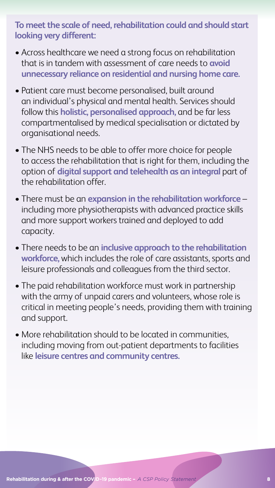**To meet the scale of need, rehabilitation could and should start looking very different:** 

- Across healthcare we need a strong focus on rehabilitation that is in tandem with assessment of care needs to **avoid unnecessary reliance on residential and nursing home care.**
- Patient care must become personalised, built around an individual's physical and mental health. Services should follow this **holistic, personalised approach,** and be far less compartmentalised by medical specialisation or dictated by organisational needs.
- The NHS needs to be able to offer more choice for people to access the rehabilitation that is right for them, including the option of **digital support and telehealth as an integral** part of the rehabilitation offer.
- There must be an **expansion in the rehabilitation workforce** including more physiotherapists with advanced practice skills and more support workers trained and deployed to add capacity.
- There needs to be an **inclusive approach to the rehabilitation workforce,** which includes the role of care assistants, sports and leisure professionals and colleagues from the third sector.
- The paid rehabilitation workforce must work in partnership with the army of unpaid carers and volunteers, whose role is critical in meeting people's needs, providing them with training and support.
- More rehabilitation should to be located in communities,

including moving from out-patient departments to facilities like **leisure centres and community centres.**

**Rehabilitation during & after the COVID-19 pandemic - A CSP Policy Statement <b>1999 1999 8**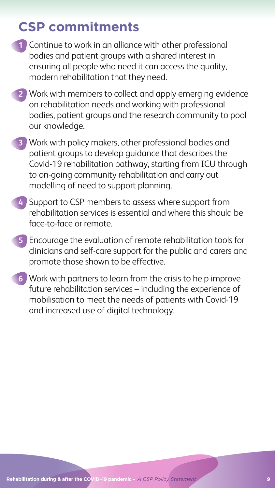# **CSP commitments**

- **1** Continue to work in an alliance with other professional bodies and patient groups with a shared interest in ensuring all people who need it can access the quality, modern rehabilitation that they need.
- **2** Work with members to collect and apply emerging evidence on rehabilitation needs and working with professional bodies, patient groups and the research community to pool our knowledge.
- **3** Work with policy makers, other professional bodies and patient groups to develop guidance that describes the Covid-19 rehabilitation pathway, starting from ICU through to on-going community rehabilitation and carry out modelling of need to support planning.
- **4** Support to CSP members to assess where support from rehabilitation services is essential and where this should be face-to-face or remote.
- **5** Encourage the evaluation of remote rehabilitation tools for clinicians and self-care support for the public and carers and promote those shown to be effective.
- **6** Work with partners to learn from the crisis to help improve future rehabilitation services – including the experience of mobilisation to meet the needs of patients with Covid-19 and increased use of digital technology.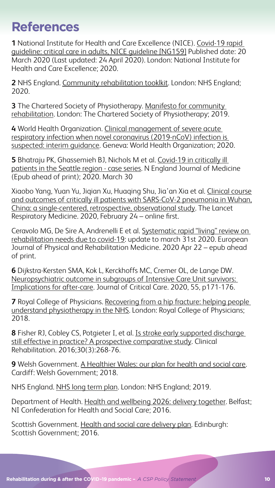## **References**

**1** National Institute for Health and Care Excellence (NICE). [Covid-19 rapid](https://www.nice.org.uk/guidance/ng159)  [guideline: critical care in adults, NICE guideline \[NG159\]](https://www.nice.org.uk/guidance/ng159) Published date: 20 March 2020 (Last updated: 24 April 2020). London: National Institute for Health and Care Excellence; 2020.

**2** NHS England. [Community rehabilitation tooklkit.](https://www.england.nhs.uk/rightcare/products/pathways/community-rehabilitation-toolkit/) London: NHS England; 2020.

**3** The Chartered Society of Physiotherapy. [Manifesto for community](https://www.csp.org.uk/system/files/publication_files/001669_PUK%20MANIFESTO%202019_MOB%201ST_0.pdf)  [rehabilitation](https://www.csp.org.uk/system/files/publication_files/001669_PUK%20MANIFESTO%202019_MOB%201ST_0.pdf). London: The Chartered Society of Physiotherapy; 2019.

**4** World Health Organization. [Clinical management of severe acute](https://www.who.int/publications-detail/clinical-management-of-severe-acute-respiratory-infection-when-novel-coronavirus-(ncov)-infection-is-suspected)  [respiratory infection when novel coronavirus \(2019-nCoV\) infection is](https://www.who.int/publications-detail/clinical-management-of-severe-acute-respiratory-infection-when-novel-coronavirus-(ncov)-infection-is-suspected)  [suspected: interim guidance](https://www.who.int/publications-detail/clinical-management-of-severe-acute-respiratory-infection-when-novel-coronavirus-(ncov)-infection-is-suspected). Geneva: World Health Organization; 2020.

**5** Bhatraju PK, Ghassemieh BJ, Nichols M et al. [Covid-19 in critically ill](https://www.nejm.org/doi/full/10.1056/NEJMoa2004500)  [patients in the Seattle region - case series](https://www.nejm.org/doi/full/10.1056/NEJMoa2004500). N England Journal of Medicine (Epub ahead of print); 2020. March 30

**7** Royal College of Physicians. Recovering from a hip fracture: helping people [understand physiotherapy in the NHS.](https://www.fffap.org.uk/FFFAP/landing.nsf/PHFSA201802w1.pdf) London: Royal College of Physicians; 2018.

Xiaobo Yang, Yuan Yu, Jiqian Xu, Huaqing Shu, Jia'an Xia et al. [Clinical course](https://www.thelancet.com/journals/lanres/article/PIIS2213-2600(20)30079-5/fulltext)  [and outcomes of critically ill patients with SARS-CoV-2 pneumonia in Wuhan,](https://www.thelancet.com/journals/lanres/article/PIIS2213-2600(20)30079-5/fulltext)  [China: a single-centered, retrospective, observational study.](https://www.thelancet.com/journals/lanres/article/PIIS2213-2600(20)30079-5/fulltext) The Lancet Respiratory Medicine. 2020, February 24 – online first.

Scottish Government. [Health and social care delivery plan.](https://www.gov.scot/publications/health-social-care-delivery-plan/) Edinburgh: Scottish Government; 2016.

**Rehabilitation during & after the COVID-19 pandemic -** *A CSP Policy Statement* **10 10** 

Ceravolo MG, De Sire A, Andrenelli E et al. [Systematic rapid "living" review on](https://www.minervamedica.it/en/journals/europa-medicophysica/article.php?cod=R33Y9999N00A20042201)  [rehabilitation needs due to covid-19](https://www.minervamedica.it/en/journals/europa-medicophysica/article.php?cod=R33Y9999N00A20042201): update to march 31st 2020. European Journal of Physical and Rehabilitation Medicine. 2020 Apr 22 – epub ahead of print.

**6** Dijkstra-Kersten SMA, Kok L, Kerckhoffs MC, Cremer OL, de Lange DW. [Neuropsychiatric outcome in subgroups of Intensive Care Unit survivors:](https://www.ncbi.nlm.nih.gov/pubmed/31739086)  [Implications for after-care](https://www.ncbi.nlm.nih.gov/pubmed/31739086). Journal of Critical Care. 2020, 55, p171-176.

**8** Fisher RJ, Cobley CS, Potgieter I, et al. [Is stroke early supported discharge](http://eprints.nottingham.ac.uk/42700/8/Fisher2016_ClinicalRehabilitation%20AAM.pdf)  [still effective in practice? A prospective comparative study](http://eprints.nottingham.ac.uk/42700/8/Fisher2016_ClinicalRehabilitation%20AAM.pdf). Clinical Rehabilitation. 2016;30(3):268-76.

**9** Welsh Government. [A Healthier Wales: our plan for health and social care](https://gov.wales/healthier-wales-long-term-plan-health-and-social-care). Cardiff: Welsh Government; 2018.

NHS England. [NHS long term plan](https://www.longtermplan.nhs.uk). London: NHS England; 2019.

Department of Health. [Health and wellbeing 2026: delivery together.](https://www.health-ni.gov.uk/sites/default/files/publications/health/health-and-wellbeing-2026-delivering-together.pdf) Belfast; NI Confederation for Health and Social Care; 2016.